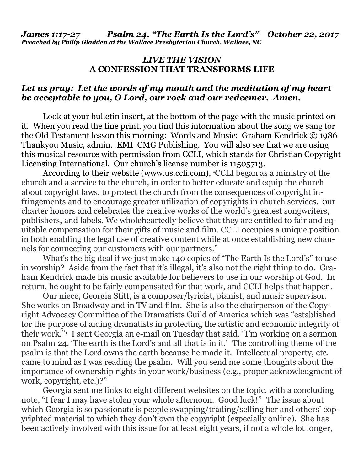## *LIVE THE VISION* **A CONFESSION THAT TRANSFORMS LIFE**

## *Let us pray: Let the words of my mouth and the meditation of my heart be acceptable to you, O Lord, our rock and our redeemer. Amen.*

Look at your bulletin insert, at the bottom of the page with the music printed on it. When you read the fine print, you find this information about the song we sang for the Old Testament lesson this morning: Words and Music: Graham Kendrick © 1986 Thankyou Music, admin. EMI CMG Publishing. You will also see that we are using this musical resource with permission from CCLI, which stands for Christian Copyright Licensing International. Our church's license number is 11505713.

According to their website [\(www.us.ccli.com\)](http://www.us.ccli.com/), "CCLI began as a ministry of the church and a service to the church, in order to better educate and equip the church about copyright laws, to protect the church from the consequences of copyright infringements and to encourage greater utilization of copyrights in church services. Our charter honors and celebrates the creative works of the world's greatest [songwriters,](https://us.ccli.com/our-partners/) [publishers,](https://us.ccli.com/our-partners/) and labels. We wholeheartedly believe that they are entitled to fair and equitable compensation for their gifts of music and film. CCLI occupies a unique position in both enabling the legal use of creative content while at once establishing new channels for connecting our customers with our partners."

What's the big deal if we just make 140 copies of "The Earth Is the Lord's" to use in worship? Aside from the fact that it's illegal, it's also not the right thing to do. Graham Kendrick made his music available for believers to use in our worship of God. In return, he ought to be fairly compensated for that work, and CCLI helps that happen.

Our niece, Georgia Stitt, is a composer/lyricist, pianist, and music supervisor. She works on Broadway and in TV and film. She is also the chairperson of the Copyright Advocacy Committee of the Dramatists Guild of America which was "established for the purpose of aiding dramatists in protecting the artistic and economic integrity of their work." 1 I sent Georgia an e-mail on Tuesday that said, "I'm working on a sermon on Psalm 24, 'The earth is the Lord's and all that is in it.' The controlling theme of the psalm is that the Lord owns the earth because he made it. Intellectual property, etc. came to mind as I was reading the psalm. Will you send me some thoughts about the importance of ownership rights in your work/business (e.g., proper acknowledgment of work, copyright, etc.)?"

Georgia sent me links to eight different websites on the topic, with a concluding note, "I fear I may have stolen your whole afternoon. Good luck!" The issue about which Georgia is so passionate is people swapping/trading/selling her and others' copyrighted material to which they don't own the copyright (especially online). She has been actively involved with this issue for at least eight years, if not a whole lot longer,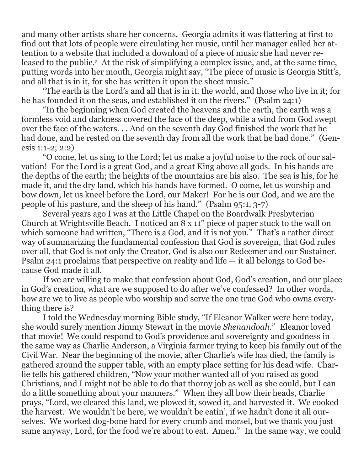and many other artists share her concerns. Georgia admits it was flattering at first to find out that lots of people were circulating her music, until her manager called her attention to a website that included a download of a piece of music she had never released to the public.2 At the risk of simplifying a complex issue, and, at the same time, putting words into her mouth, Georgia might say, "The piece of music is Georgia Stitt's, and all that is in it, for she has written it upon the sheet music."

"The earth is the Lord's and all that is in it, the world, and those who live in it; for he has founded it on the seas, and established it on the rivers." (Psalm 24:1)

"In the beginning when God created the heavens and the earth, the earth was a formless void and darkness covered the face of the deep, while a wind from God swept over the face of the waters. . . And on the seventh day God finished the work that he had done, and he rested on the seventh day from all the work that he had done." (Genesis 1:1-2; 2:2)

"O come, let us sing to the Lord; let us make a joyful noise to the rock of our salvation! For the Lord is a great God, and a great King above all gods. In his hands are the depths of the earth; the heights of the mountains are his also. The sea is his, for he made it, and the dry land, which his hands have formed. O come, let us worship and bow down, let us kneel before the Lord, our Maker! For he is our God, and we are the people of his pasture, and the sheep of his hand." (Psalm 95:1, 3-7)

Several years ago I was at the Little Chapel on the Boardwalk Presbyterian Church at Wrightsville Beach. I noticed an 8 x 11" piece of paper stuck to the wall on which someone had written, "There is a God, and it is not you." That's a rather direct way of summarizing the fundamental confession that God is sovereign, that God rules over all, that God is not only the Creator, God is also our Redeemer and our Sustainer. Psalm 24:1 proclaims that perspective on reality and life — it all belongs to God because God made it all.

If we are willing to make that confession about God, God's creation, and our place in God's creation, what are we supposed to do after we've confessed? In other words, how are we to live as people who worship and serve the one true God who owns everything there is?

I told the Wednesday morning Bible study, "If Eleanor Walker were here today, she would surely mention Jimmy Stewart in the movie *Shenandoah*." Eleanor loved that movie! We could respond to God's providence and sovereignty and goodness in the same way as Charlie Anderson, a Virginia farmer trying to keep his family out of the Civil War. Near the beginning of the movie, after Charlie's wife has died, the family is gathered around the supper table, with an empty place setting for his dead wife. Charlie tells his gathered children, "Now your mother wanted all of you raised as good Christians, and I might not be able to do that thorny job as well as she could, but I can do a little something about your manners." When they all bow their heads, Charlie prays, "Lord, we cleared this land, we plowed it, sowed it, and harvested it. We cooked the harvest. We wouldn't be here, we wouldn't be eatin', if we hadn't done it all ourselves. We worked dog-bone hard for every crumb and morsel, but we thank you just same anyway, Lord, for the food we're about to eat. Amen." In the same way, we could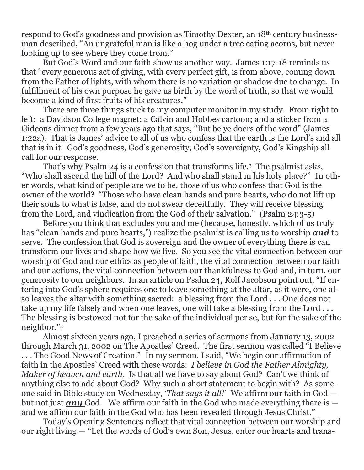respond to God's goodness and provision as Timothy Dexter, an 18th century businessman described, "An ungrateful man is like a hog under a tree eating acorns, but never looking up to see where they come from."

But God's Word and our faith show us another way. James 1:17-18 reminds us that "every generous act of giving, with every perfect gift, is from above, coming down from the Father of lights, with whom there is no variation or shadow due to change. In fulfillment of his own purpose he gave us birth by the word of truth, so that we would become a kind of first fruits of his creatures."

There are three things stuck to my computer monitor in my study. From right to left: a Davidson College magnet; a Calvin and Hobbes cartoon; and a sticker from a Gideons dinner from a few years ago that says, "But be ye doers of the word" (James 1:22a). That is James' advice to all of us who confess that the earth is the Lord's and all that is in it. God's goodness, God's generosity, God's sovereignty, God's Kingship all call for our response.

That's why Psalm 24 is a confession that transforms life.3 The psalmist asks, "Who shall ascend the hill of the Lord? And who shall stand in his holy place?" In other words, what kind of people are we to be, those of us who confess that God is the owner of the world? "Those who have clean hands and pure hearts, who do not lift up their souls to what is false, and do not swear deceitfully. They will receive blessing from the Lord, and vindication from the God of their salvation." (Psalm 24:3-5)

Before you think that excludes you and me (because, honestly, which of us truly has "clean hands and pure hearts,") realize the psalmist is calling us to worship *and* to serve. The confession that God is sovereign and the owner of everything there is can transform our lives and shape how we live. So you see the vital connection between our worship of God and our ethics as people of faith, the vital connection between our faith and our actions, the vital connection between our thankfulness to God and, in turn, our generosity to our neighbors. In an article on Psalm 24, Rolf Jacobson point out, "If entering into God's sphere requires one to leave something at the altar, as it were, one also leaves the altar with something sacred: a blessing from the Lord . . . One does not take up my life falsely and when one leaves, one will take a blessing from the Lord ... The blessing is bestowed not for the sake of the individual per se, but for the sake of the neighbor." 4

Almost sixteen years ago, I preached a series of sermons from January 13, 2002 through March 31, 2002 on The Apostles' Creed. The first sermon was called "I Believe . . . The Good News of Creation." In my sermon, I said, "We begin our affirmation of faith in the Apostles' Creed with these words: *I believe in God the Father Almighty, Maker of heaven and earth*. Is that all we have to say about God? Can't we think of anything else to add about God? Why such a short statement to begin with? As someone said in Bible study on Wednesday, '*That says it all!*' We affirm our faith in God but not just *any* God. We affirm our faith in the God who made everything there is and we affirm our faith in the God who has been revealed through Jesus Christ."

Today's Opening Sentences reflect that vital connection between our worship and our right living — "Let the words of God's own Son, Jesus, enter our hearts and trans